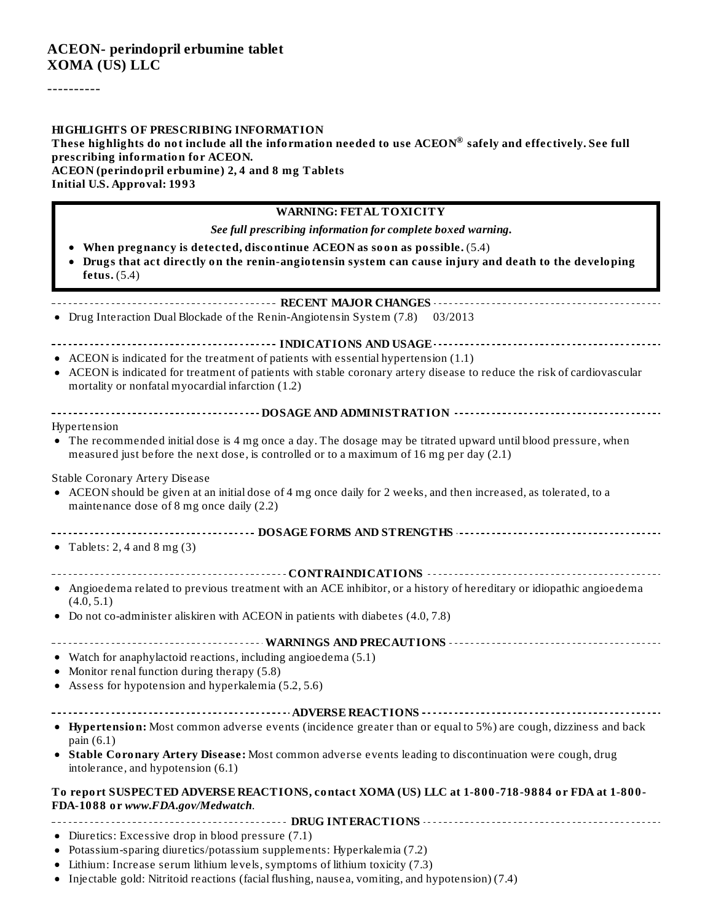----------

#### **HIGHLIGHTS OF PRESCRIBING INFORMATION**

These highlights do not include all the information needed to use ACEON $^\circledast$  safely and effectively. See full **prescribing information for ACEON. ACEON (perindopril erbumine) 2, 4 and 8 mg Tablets Initial U.S. Approval: 1993**

#### **WARNING: FETAL TOXICITY**

*See full prescribing information for complete boxed warning.*

- **When pregnancy is detected, discontinue ACEON as soon as possible.** (5.4)
- **Drugs that act directly on the renin-angiotensin system can cause injury and death to the developing fetus.** (5.4)

#### **RECENT MAJOR CHANGES**

• Drug Interaction Dual Blockade of the Renin-Angiotensin System (7.8) 03/2013

## **INDICATIONS AND USAGE**

- ACEON is indicated for the treatment of patients with essential hypertension (1.1)
- ACEON is indicated for treatment of patients with stable coronary artery disease to reduce the risk of cardiovascular mortality or nonfatal myocardial infarction (1.2)

| -----------------------------------DOSAGE AND ADMINISTRATION --------------------------- |  |
|------------------------------------------------------------------------------------------|--|
|                                                                                          |  |

#### Hypertension

The recommended initial dose is 4 mg once a day. The dosage may be titrated upward until blood pressure, when measured just before the next dose, is controlled or to a maximum of 16 mg per day (2.1)

#### Stable Coronary Artery Disease

- ACEON should be given at an initial dose of 4 mg once daily for 2 weeks, and then increased, as tolerated, to a maintenance dose of 8 mg once daily (2.2)
- **DOSAGE FORMS AND STRENGTHS**
- Tablets: 2, 4 and 8 mg  $(3)$
- **CONTRAINDICATIONS**
- Angioedema related to previous treatment with an ACE inhibitor, or a history of hereditary or idiopathic angioedema  $(4.0, 5.1)$
- Do not co-administer aliskiren with ACEON in patients with diabetes (4.0, 7.8)

#### **WARNINGS AND PRECAUTIONS**

- Watch for anaphylactoid reactions, including angioedema (5.1)
- Monitor renal function during therapy (5.8)
- Assess for hypotension and hyperkalemia (5.2, 5.6)

#### **ADVERSE REACTIONS**

- **Hypertension:** Most common adverse events (incidence greater than or equal to 5%) are cough, dizziness and back pain (6.1)
- **Stable Coronary Artery Disease:** Most common adverse events leading to discontinuation were cough, drug  $\bullet$ intolerance, and hypotension (6.1)

#### **To report SUSPECTED ADVERSE REACTIONS, contact XOMA (US) LLC at 1-800-718-9884 or FDA at 1-800- FDA-1088 or** *www.FDA.gov/Medwatch*.

- **DRUG INTERACTIONS**
- Diuretics: Excessive drop in blood pressure (7.1)
- Potassium-sparing diuretics/potassium supplements: Hyperkalemia (7.2)
- Lithium: Increase serum lithium levels, symptoms of lithium toxicity (7.3)
- Injectable gold: Nitritoid reactions (facial flushing, nausea, vomiting, and hypotension) (7.4)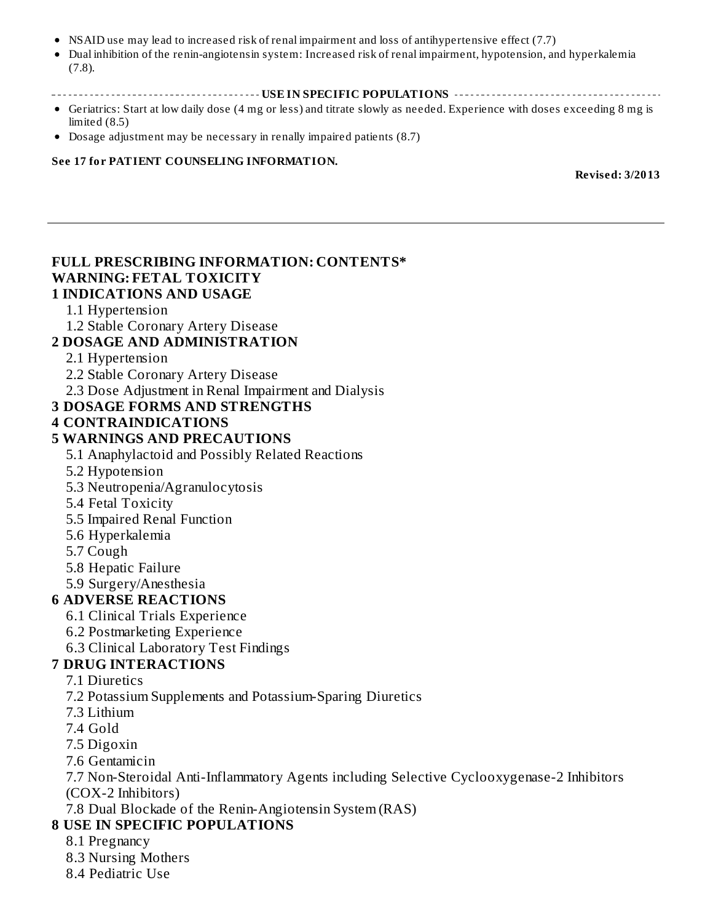- NSAID use may lead to increased risk of renal impairment and loss of antihypertensive effect (7.7)
- Dual inhibition of the renin-angiotensin system: Increased risk of renal impairment, hypotension, and hyperkalemia (7.8).
- **USE IN SPECIFIC POPULATIONS**
- Geriatrics: Start at low daily dose (4 mg or less) and titrate slowly as needed. Experience with doses exceeding 8 mg is limited (8.5)
- Dosage adjustment may be necessary in renally impaired patients (8.7)

#### **See 17 for PATIENT COUNSELING INFORMATION.**

**Revised: 3/2013**

#### **FULL PRESCRIBING INFORMATION: CONTENTS\* WARNING: FETAL TOXICITY 1 INDICATIONS AND USAGE**

#### 1.1 Hypertension

- 1.2 Stable Coronary Artery Disease
- **2 DOSAGE AND ADMINISTRATION**

#### 2.1 Hypertension

- 2.2 Stable Coronary Artery Disease
- 2.3 Dose Adjustment in Renal Impairment and Dialysis

#### **3 DOSAGE FORMS AND STRENGTHS**

#### **4 CONTRAINDICATIONS**

#### **5 WARNINGS AND PRECAUTIONS**

5.1 Anaphylactoid and Possibly Related Reactions

- 5.2 Hypotension
- 5.3 Neutropenia/Agranulocytosis
- 5.4 Fetal Toxicity
- 5.5 Impaired Renal Function
- 5.6 Hyperkalemia
- 5.7 Cough
- 5.8 Hepatic Failure
- 5.9 Surgery/Anesthesia

#### **6 ADVERSE REACTIONS**

- 6.1 Clinical Trials Experience
- 6.2 Postmarketing Experience
- 6.3 Clinical Laboratory Test Findings

#### **7 DRUG INTERACTIONS**

- 7.1 Diuretics
- 7.2 Potassium Supplements and Potassium-Sparing Diuretics
- 7.3 Lithium
- 7.4 Gold
- 7.5 Digoxin
- 7.6 Gentamicin
- 7.7 Non-Steroidal Anti-Inflammatory Agents including Selective Cyclooxygenase-2 Inhibitors (COX-2 Inhibitors)
- 7.8 Dual Blockade of the Renin-Angiotensin System (RAS)

#### **8 USE IN SPECIFIC POPULATIONS**

#### 8.1 Pregnancy

- 8.3 Nursing Mothers
- 8.4 Pediatric Use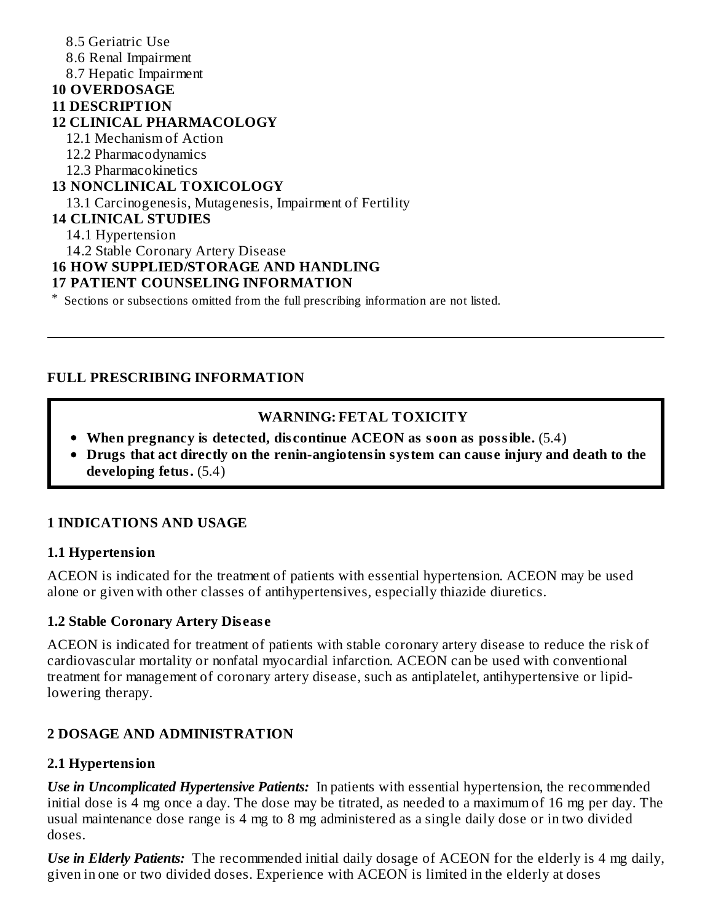8.5 Geriatric Use 8.6 Renal Impairment 8.7 Hepatic Impairment **10 OVERDOSAGE 11 DESCRIPTION 12 CLINICAL PHARMACOLOGY** 12.1 Mechanism of Action 12.2 Pharmacodynamics 12.3 Pharmacokinetics **13 NONCLINICAL TOXICOLOGY** 13.1 Carcinogenesis, Mutagenesis, Impairment of Fertility **14 CLINICAL STUDIES** 14.1 Hypertension 14.2 Stable Coronary Artery Disease **16 HOW SUPPLIED/STORAGE AND HANDLING 17 PATIENT COUNSELING INFORMATION**

\* Sections or subsections omitted from the full prescribing information are not listed.

#### **FULL PRESCRIBING INFORMATION**

#### **WARNING: FETAL TOXICITY**

- **When pregnancy is detected, dis continue ACEON as soon as possible.** (5.4)
- **Drugs that act directly on the renin-angiotensin system can caus e injury and death to the developing fetus.** (5.4)

#### **1 INDICATIONS AND USAGE**

#### **1.1 Hypertension**

ACEON is indicated for the treatment of patients with essential hypertension. ACEON may be used alone or given with other classes of antihypertensives, especially thiazide diuretics.

#### **1.2 Stable Coronary Artery Dis eas e**

ACEON is indicated for treatment of patients with stable coronary artery disease to reduce the risk of cardiovascular mortality or nonfatal myocardial infarction. ACEON can be used with conventional treatment for management of coronary artery disease, such as antiplatelet, antihypertensive or lipidlowering therapy.

#### **2 DOSAGE AND ADMINISTRATION**

#### **2.1 Hypertension**

*Use in Uncomplicated Hypertensive Patients:* In patients with essential hypertension, the recommended initial dose is 4 mg once a day. The dose may be titrated, as needed to a maximum of 16 mg per day. The usual maintenance dose range is 4 mg to 8 mg administered as a single daily dose or in two divided doses.

*Use in Elderly Patients:* The recommended initial daily dosage of ACEON for the elderly is 4 mg daily, given in one or two divided doses. Experience with ACEON is limited in the elderly at doses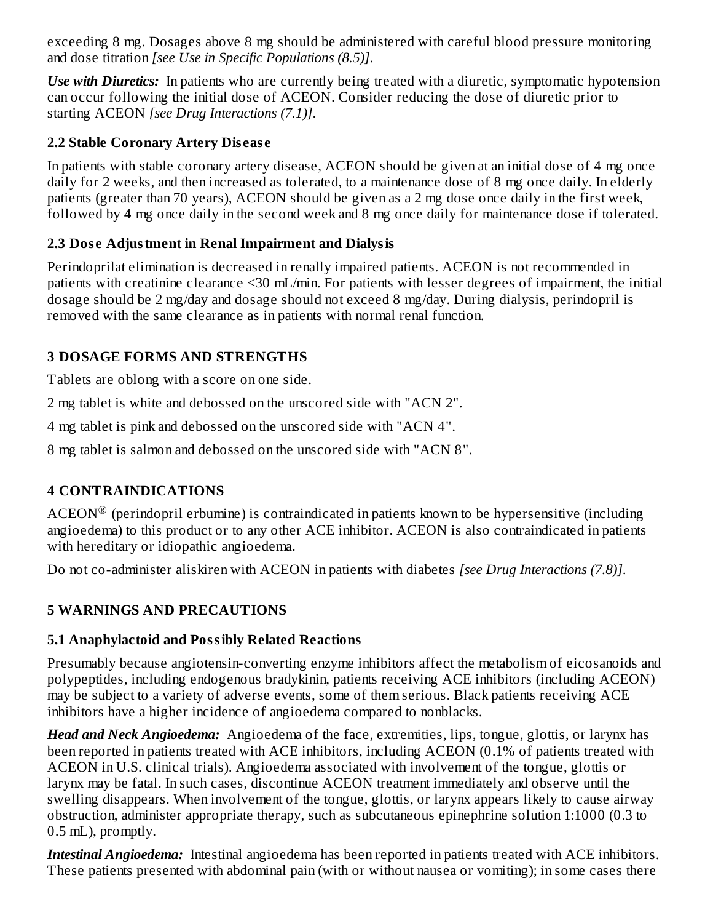exceeding 8 mg. Dosages above 8 mg should be administered with careful blood pressure monitoring and dose titration *[see Use in Specific Populations (8.5)]*.

*Use with Diuretics:* In patients who are currently being treated with a diuretic, symptomatic hypotension can occur following the initial dose of ACEON. Consider reducing the dose of diuretic prior to starting ACEON *[see Drug Interactions (7.1)]*.

#### **2.2 Stable Coronary Artery Dis eas e**

In patients with stable coronary artery disease, ACEON should be given at an initial dose of 4 mg once daily for 2 weeks, and then increased as tolerated, to a maintenance dose of 8 mg once daily. In elderly patients (greater than 70 years), ACEON should be given as a 2 mg dose once daily in the first week, followed by 4 mg once daily in the second week and 8 mg once daily for maintenance dose if tolerated.

### **2.3 Dos e Adjustment in Renal Impairment and Dialysis**

Perindoprilat elimination is decreased in renally impaired patients. ACEON is not recommended in patients with creatinine clearance <30 mL/min. For patients with lesser degrees of impairment, the initial dosage should be 2 mg/day and dosage should not exceed 8 mg/day. During dialysis, perindopril is removed with the same clearance as in patients with normal renal function.

### **3 DOSAGE FORMS AND STRENGTHS**

Tablets are oblong with a score on one side.

2 mg tablet is white and debossed on the unscored side with "ACN 2".

4 mg tablet is pink and debossed on the unscored side with "ACN 4".

8 mg tablet is salmon and debossed on the unscored side with "ACN 8".

### **4 CONTRAINDICATIONS**

 $\mathrm{ACEON}^{\circledR}$  (perindopril erbumine) is contraindicated in patients known to be hypersensitive (including angioedema) to this product or to any other ACE inhibitor. ACEON is also contraindicated in patients with hereditary or idiopathic angioedema.

Do not co-administer aliskiren with ACEON in patients with diabetes *[see Drug Interactions (7.8)]*.

### **5 WARNINGS AND PRECAUTIONS**

### **5.1 Anaphylactoid and Possibly Related Reactions**

Presumably because angiotensin-converting enzyme inhibitors affect the metabolism of eicosanoids and polypeptides, including endogenous bradykinin, patients receiving ACE inhibitors (including ACEON) may be subject to a variety of adverse events, some of them serious. Black patients receiving ACE inhibitors have a higher incidence of angioedema compared to nonblacks.

*Head and Neck Angioedema:* Angioedema of the face, extremities, lips, tongue, glottis, or larynx has been reported in patients treated with ACE inhibitors, including ACEON (0.1% of patients treated with ACEON in U.S. clinical trials). Angioedema associated with involvement of the tongue, glottis or larynx may be fatal. In such cases, discontinue ACEON treatment immediately and observe until the swelling disappears. When involvement of the tongue, glottis, or larynx appears likely to cause airway obstruction, administer appropriate therapy, such as subcutaneous epinephrine solution 1:1000 (0.3 to 0.5 mL), promptly.

*Intestinal Angioedema:* Intestinal angioedema has been reported in patients treated with ACE inhibitors. These patients presented with abdominal pain (with or without nausea or vomiting); in some cases there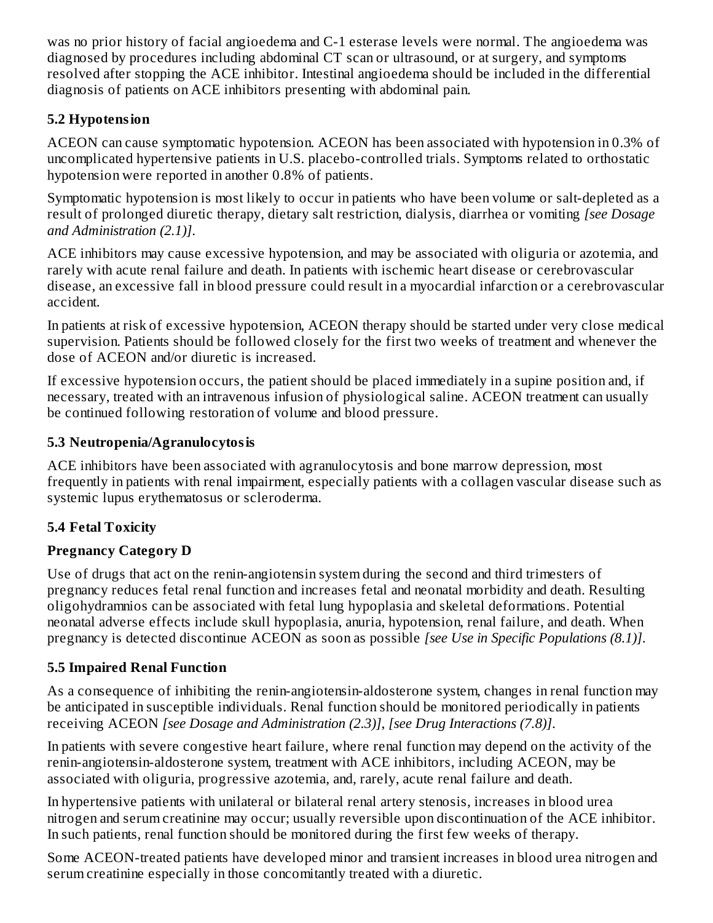was no prior history of facial angioedema and C-1 esterase levels were normal. The angioedema was diagnosed by procedures including abdominal CT scan or ultrasound, or at surgery, and symptoms resolved after stopping the ACE inhibitor. Intestinal angioedema should be included in the differential diagnosis of patients on ACE inhibitors presenting with abdominal pain.

### **5.2 Hypotension**

ACEON can cause symptomatic hypotension. ACEON has been associated with hypotension in 0.3% of uncomplicated hypertensive patients in U.S. placebo-controlled trials. Symptoms related to orthostatic hypotension were reported in another 0.8% of patients.

Symptomatic hypotension is most likely to occur in patients who have been volume or salt-depleted as a result of prolonged diuretic therapy, dietary salt restriction, dialysis, diarrhea or vomiting *[see Dosage and Administration (2.1)]*.

ACE inhibitors may cause excessive hypotension, and may be associated with oliguria or azotemia, and rarely with acute renal failure and death. In patients with ischemic heart disease or cerebrovascular disease, an excessive fall in blood pressure could result in a myocardial infarction or a cerebrovascular accident.

In patients at risk of excessive hypotension, ACEON therapy should be started under very close medical supervision. Patients should be followed closely for the first two weeks of treatment and whenever the dose of ACEON and/or diuretic is increased.

If excessive hypotension occurs, the patient should be placed immediately in a supine position and, if necessary, treated with an intravenous infusion of physiological saline. ACEON treatment can usually be continued following restoration of volume and blood pressure.

### **5.3 Neutropenia/Agranulocytosis**

ACE inhibitors have been associated with agranulocytosis and bone marrow depression, most frequently in patients with renal impairment, especially patients with a collagen vascular disease such as systemic lupus erythematosus or scleroderma.

## **5.4 Fetal Toxicity**

## **Pregnancy Category D**

Use of drugs that act on the renin-angiotensin system during the second and third trimesters of pregnancy reduces fetal renal function and increases fetal and neonatal morbidity and death. Resulting oligohydramnios can be associated with fetal lung hypoplasia and skeletal deformations. Potential neonatal adverse effects include skull hypoplasia, anuria, hypotension, renal failure, and death. When pregnancy is detected discontinue ACEON as soon as possible *[see Use in Specific Populations (8.1)]*.

### **5.5 Impaired Renal Function**

As a consequence of inhibiting the renin-angiotensin-aldosterone system, changes in renal function may be anticipated in susceptible individuals. Renal function should be monitored periodically in patients receiving ACEON *[see Dosage and Administration (2.3)]*, *[see Drug Interactions (7.8)]*.

In patients with severe congestive heart failure, where renal function may depend on the activity of the renin-angiotensin-aldosterone system, treatment with ACE inhibitors, including ACEON, may be associated with oliguria, progressive azotemia, and, rarely, acute renal failure and death.

In hypertensive patients with unilateral or bilateral renal artery stenosis, increases in blood urea nitrogen and serum creatinine may occur; usually reversible upon discontinuation of the ACE inhibitor. In such patients, renal function should be monitored during the first few weeks of therapy.

Some ACEON-treated patients have developed minor and transient increases in blood urea nitrogen and serum creatinine especially in those concomitantly treated with a diuretic.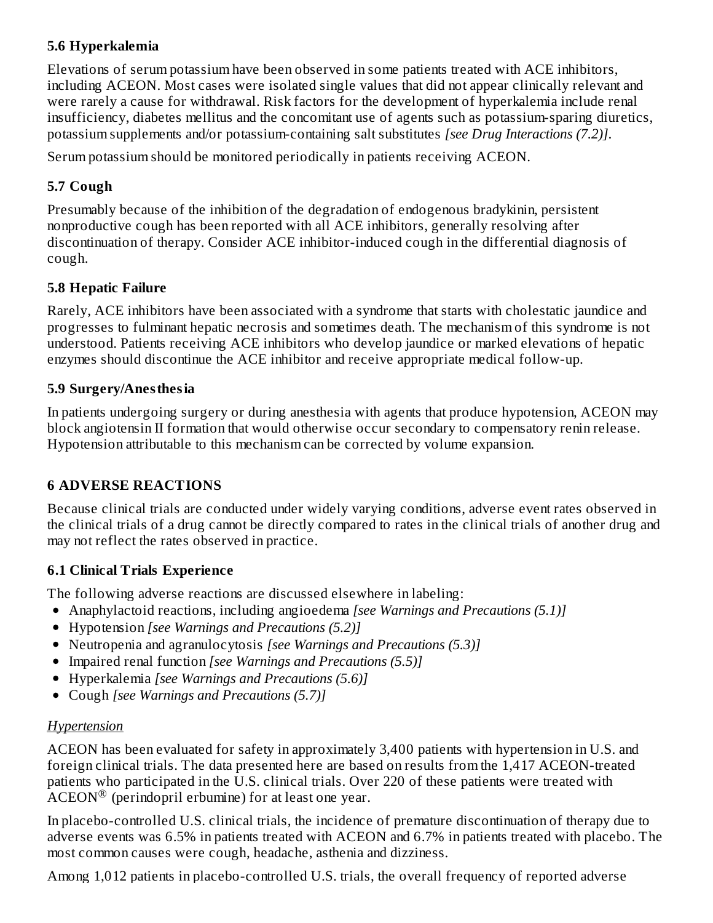#### **5.6 Hyperkalemia**

Elevations of serum potassium have been observed in some patients treated with ACE inhibitors, including ACEON. Most cases were isolated single values that did not appear clinically relevant and were rarely a cause for withdrawal. Risk factors for the development of hyperkalemia include renal insufficiency, diabetes mellitus and the concomitant use of agents such as potassium-sparing diuretics, potassium supplements and/or potassium-containing salt substitutes *[see Drug Interactions (7.2)]*.

Serum potassium should be monitored periodically in patients receiving ACEON.

## **5.7 Cough**

Presumably because of the inhibition of the degradation of endogenous bradykinin, persistent nonproductive cough has been reported with all ACE inhibitors, generally resolving after discontinuation of therapy. Consider ACE inhibitor-induced cough in the differential diagnosis of cough.

### **5.8 Hepatic Failure**

Rarely, ACE inhibitors have been associated with a syndrome that starts with cholestatic jaundice and progresses to fulminant hepatic necrosis and sometimes death. The mechanism of this syndrome is not understood. Patients receiving ACE inhibitors who develop jaundice or marked elevations of hepatic enzymes should discontinue the ACE inhibitor and receive appropriate medical follow-up.

### **5.9 Surgery/Anesthesia**

In patients undergoing surgery or during anesthesia with agents that produce hypotension, ACEON may block angiotensin II formation that would otherwise occur secondary to compensatory renin release. Hypotension attributable to this mechanism can be corrected by volume expansion.

## **6 ADVERSE REACTIONS**

Because clinical trials are conducted under widely varying conditions, adverse event rates observed in the clinical trials of a drug cannot be directly compared to rates in the clinical trials of another drug and may not reflect the rates observed in practice.

## **6.1 Clinical Trials Experience**

The following adverse reactions are discussed elsewhere in labeling:

- Anaphylactoid reactions, including angioedema *[see Warnings and Precautions (5.1)]*
- Hypotension *[see Warnings and Precautions (5.2)]*
- Neutropenia and agranulocytosis *[see Warnings and Precautions (5.3)]*
- Impaired renal function *[see Warnings and Precautions (5.5)]*
- Hyperkalemia *[see Warnings and Precautions (5.6)]*
- Cough *[see Warnings and Precautions (5.7)]*

## *Hypertension*

ACEON has been evaluated for safety in approximately 3,400 patients with hypertension in U.S. and foreign clinical trials. The data presented here are based on results from the 1,417 ACEON-treated patients who participated in the U.S. clinical trials. Over 220 of these patients were treated with  $\widehat{\text{ACEON}}^{\textcircled{\tiny{\textregistered}}}$  (perindopril erbumine) for at least one year.

In placebo-controlled U.S. clinical trials, the incidence of premature discontinuation of therapy due to adverse events was 6.5% in patients treated with ACEON and 6.7% in patients treated with placebo. The most common causes were cough, headache, asthenia and dizziness.

Among 1,012 patients in placebo-controlled U.S. trials, the overall frequency of reported adverse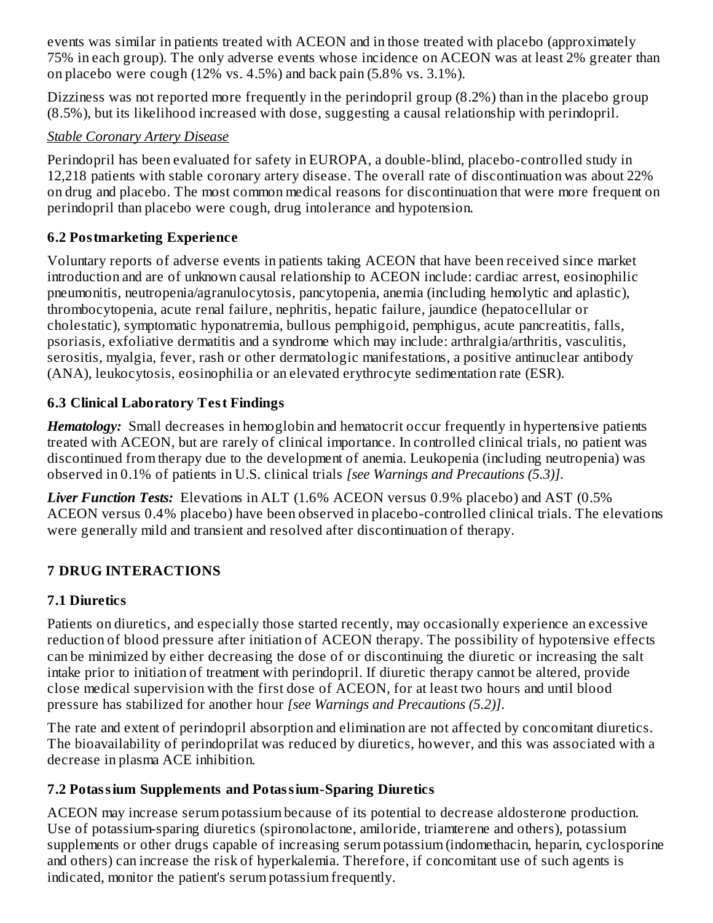events was similar in patients treated with ACEON and in those treated with placebo (approximately 75% in each group). The only adverse events whose incidence on ACEON was at least 2% greater than on placebo were cough (12% vs. 4.5%) and back pain (5.8% vs. 3.1%).

Dizziness was not reported more frequently in the perindopril group (8.2%) than in the placebo group (8.5%), but its likelihood increased with dose, suggesting a causal relationship with perindopril.

#### *Stable Coronary Artery Disease*

Perindopril has been evaluated for safety in EUROPA, a double-blind, placebo-controlled study in 12,218 patients with stable coronary artery disease. The overall rate of discontinuation was about 22% on drug and placebo. The most common medical reasons for discontinuation that were more frequent on perindopril than placebo were cough, drug intolerance and hypotension.

### **6.2 Postmarketing Experience**

Voluntary reports of adverse events in patients taking ACEON that have been received since market introduction and are of unknown causal relationship to ACEON include: cardiac arrest, eosinophilic pneumonitis, neutropenia/agranulocytosis, pancytopenia, anemia (including hemolytic and aplastic), thrombocytopenia, acute renal failure, nephritis, hepatic failure, jaundice (hepatocellular or cholestatic), symptomatic hyponatremia, bullous pemphigoid, pemphigus, acute pancreatitis, falls, psoriasis, exfoliative dermatitis and a syndrome which may include: arthralgia/arthritis, vasculitis, serositis, myalgia, fever, rash or other dermatologic manifestations, a positive antinuclear antibody (ANA), leukocytosis, eosinophilia or an elevated erythrocyte sedimentation rate (ESR).

### **6.3 Clinical Laboratory Test Findings**

*Hematology:* Small decreases in hemoglobin and hematocrit occur frequently in hypertensive patients treated with ACEON, but are rarely of clinical importance. In controlled clinical trials, no patient was discontinued from therapy due to the development of anemia. Leukopenia (including neutropenia) was observed in 0.1% of patients in U.S. clinical trials *[see Warnings and Precautions (5.3)]*.

*Liver Function Tests:* Elevations in ALT (1.6% ACEON versus 0.9% placebo) and AST (0.5% ACEON versus 0.4% placebo) have been observed in placebo-controlled clinical trials. The elevations were generally mild and transient and resolved after discontinuation of therapy.

## **7 DRUG INTERACTIONS**

### **7.1 Diuretics**

Patients on diuretics, and especially those started recently, may occasionally experience an excessive reduction of blood pressure after initiation of ACEON therapy. The possibility of hypotensive effects can be minimized by either decreasing the dose of or discontinuing the diuretic or increasing the salt intake prior to initiation of treatment with perindopril. If diuretic therapy cannot be altered, provide close medical supervision with the first dose of ACEON, for at least two hours and until blood pressure has stabilized for another hour *[see Warnings and Precautions (5.2)]*.

The rate and extent of perindopril absorption and elimination are not affected by concomitant diuretics. The bioavailability of perindoprilat was reduced by diuretics, however, and this was associated with a decrease in plasma ACE inhibition.

### **7.2 Potassium Supplements and Potassium-Sparing Diuretics**

ACEON may increase serum potassium because of its potential to decrease aldosterone production. Use of potassium-sparing diuretics (spironolactone, amiloride, triamterene and others), potassium supplements or other drugs capable of increasing serum potassium (indomethacin, heparin, cyclosporine and others) can increase the risk of hyperkalemia. Therefore, if concomitant use of such agents is indicated, monitor the patient's serum potassium frequently.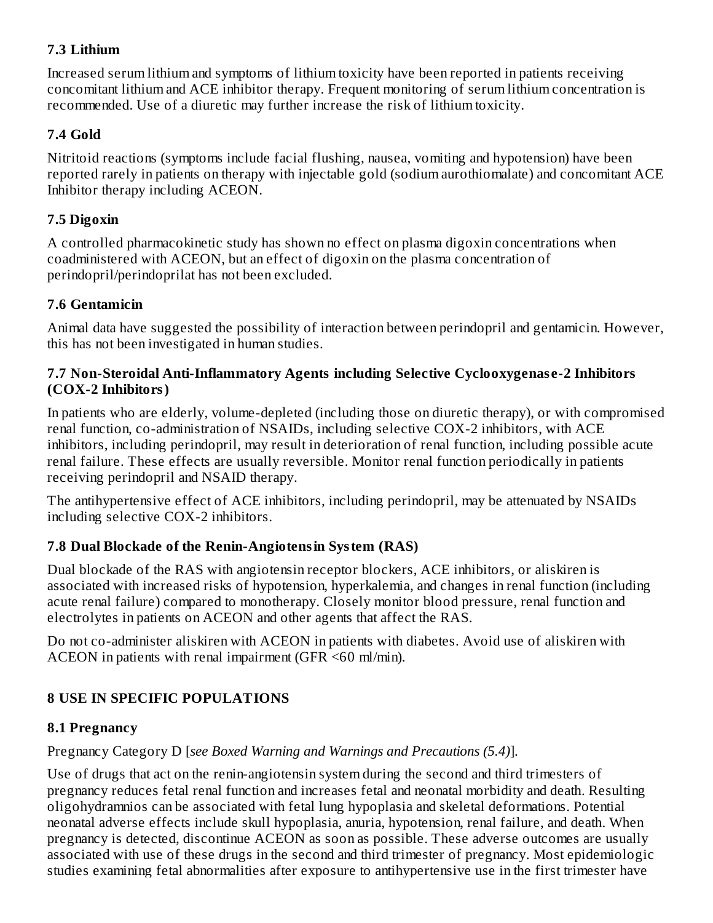#### **7.3 Lithium**

Increased serum lithium and symptoms of lithium toxicity have been reported in patients receiving concomitant lithium and ACE inhibitor therapy. Frequent monitoring of serum lithium concentration is recommended. Use of a diuretic may further increase the risk of lithium toxicity.

#### **7.4 Gold**

Nitritoid reactions (symptoms include facial flushing, nausea, vomiting and hypotension) have been reported rarely in patients on therapy with injectable gold (sodium aurothiomalate) and concomitant ACE Inhibitor therapy including ACEON.

#### **7.5 Digoxin**

A controlled pharmacokinetic study has shown no effect on plasma digoxin concentrations when coadministered with ACEON, but an effect of digoxin on the plasma concentration of perindopril/perindoprilat has not been excluded.

#### **7.6 Gentamicin**

Animal data have suggested the possibility of interaction between perindopril and gentamicin. However, this has not been investigated in human studies.

#### **7.7 Non-Steroidal Anti-Inflammatory Agents including Selective Cyclooxygenas e-2 Inhibitors (COX-2 Inhibitors)**

In patients who are elderly, volume-depleted (including those on diuretic therapy), or with compromised renal function, co-administration of NSAIDs, including selective COX-2 inhibitors, with ACE inhibitors, including perindopril, may result in deterioration of renal function, including possible acute renal failure. These effects are usually reversible. Monitor renal function periodically in patients receiving perindopril and NSAID therapy.

The antihypertensive effect of ACE inhibitors, including perindopril, may be attenuated by NSAIDs including selective COX-2 inhibitors.

### **7.8 Dual Blockade of the Renin-Angiotensin System (RAS)**

Dual blockade of the RAS with angiotensin receptor blockers, ACE inhibitors, or aliskiren is associated with increased risks of hypotension, hyperkalemia, and changes in renal function (including acute renal failure) compared to monotherapy. Closely monitor blood pressure, renal function and electrolytes in patients on ACEON and other agents that affect the RAS.

Do not co-administer aliskiren with ACEON in patients with diabetes. Avoid use of aliskiren with ACEON in patients with renal impairment (GFR <60 ml/min).

## **8 USE IN SPECIFIC POPULATIONS**

#### **8.1 Pregnancy**

Pregnancy Category D [*see Boxed Warning and Warnings and Precautions (5.4)*].

Use of drugs that act on the renin-angiotensin system during the second and third trimesters of pregnancy reduces fetal renal function and increases fetal and neonatal morbidity and death. Resulting oligohydramnios can be associated with fetal lung hypoplasia and skeletal deformations. Potential neonatal adverse effects include skull hypoplasia, anuria, hypotension, renal failure, and death. When pregnancy is detected, discontinue ACEON as soon as possible. These adverse outcomes are usually associated with use of these drugs in the second and third trimester of pregnancy. Most epidemiologic studies examining fetal abnormalities after exposure to antihypertensive use in the first trimester have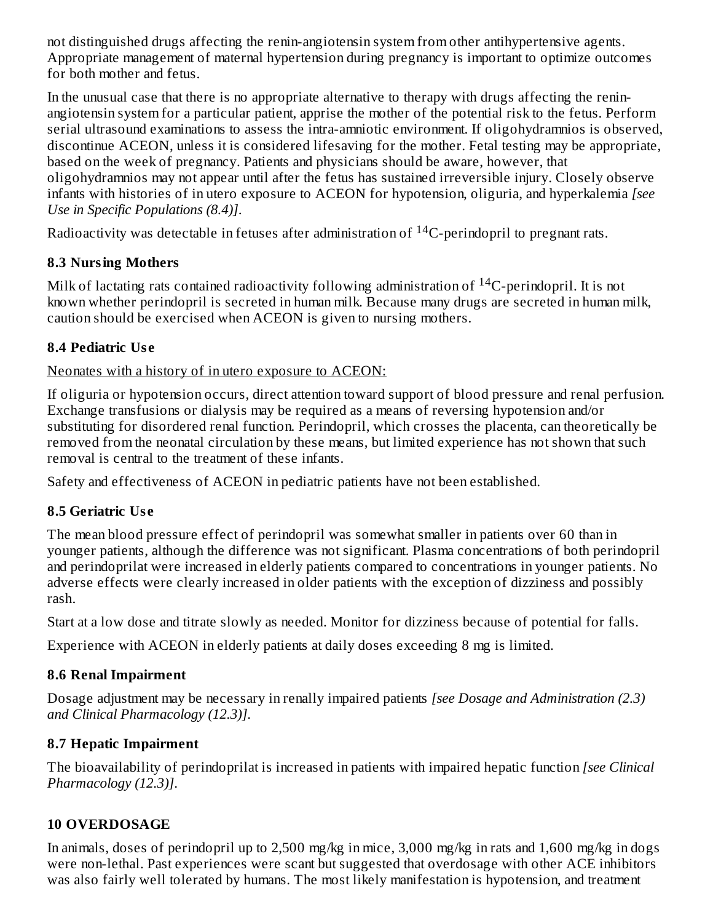not distinguished drugs affecting the renin-angiotensin system from other antihypertensive agents. Appropriate management of maternal hypertension during pregnancy is important to optimize outcomes for both mother and fetus.

In the unusual case that there is no appropriate alternative to therapy with drugs affecting the reninangiotensin system for a particular patient, apprise the mother of the potential risk to the fetus. Perform serial ultrasound examinations to assess the intra-amniotic environment. If oligohydramnios is observed, discontinue ACEON, unless it is considered lifesaving for the mother. Fetal testing may be appropriate, based on the week of pregnancy. Patients and physicians should be aware, however, that oligohydramnios may not appear until after the fetus has sustained irreversible injury. Closely observe infants with histories of in utero exposure to ACEON for hypotension, oliguria, and hyperkalemia *[see Use in Specific Populations (8.4)]*.

Radioactivity was detectable in fetuses after administration of  $^{14}$ C-perindopril to pregnant rats.

### **8.3 Nursing Mothers**

Milk of lactating rats contained radioactivity following administration of  $^{14}$ C-perindopril. It is not known whether perindopril is secreted in human milk. Because many drugs are secreted in human milk, caution should be exercised when ACEON is given to nursing mothers.

### **8.4 Pediatric Us e**

Neonates with a history of in utero exposure to ACEON:

If oliguria or hypotension occurs, direct attention toward support of blood pressure and renal perfusion. Exchange transfusions or dialysis may be required as a means of reversing hypotension and/or substituting for disordered renal function. Perindopril, which crosses the placenta, can theoretically be removed from the neonatal circulation by these means, but limited experience has not shown that such removal is central to the treatment of these infants.

Safety and effectiveness of ACEON in pediatric patients have not been established.

### **8.5 Geriatric Us e**

The mean blood pressure effect of perindopril was somewhat smaller in patients over 60 than in younger patients, although the difference was not significant. Plasma concentrations of both perindopril and perindoprilat were increased in elderly patients compared to concentrations in younger patients. No adverse effects were clearly increased in older patients with the exception of dizziness and possibly rash.

Start at a low dose and titrate slowly as needed. Monitor for dizziness because of potential for falls.

Experience with ACEON in elderly patients at daily doses exceeding 8 mg is limited.

## **8.6 Renal Impairment**

Dosage adjustment may be necessary in renally impaired patients *[see Dosage and Administration (2.3) and Clinical Pharmacology (12.3)]*.

## **8.7 Hepatic Impairment**

The bioavailability of perindoprilat is increased in patients with impaired hepatic function *[see Clinical Pharmacology (12.3)]*.

## **10 OVERDOSAGE**

In animals, doses of perindopril up to 2,500 mg/kg in mice, 3,000 mg/kg in rats and 1,600 mg/kg in dogs were non-lethal. Past experiences were scant but suggested that overdosage with other ACE inhibitors was also fairly well tolerated by humans. The most likely manifestation is hypotension, and treatment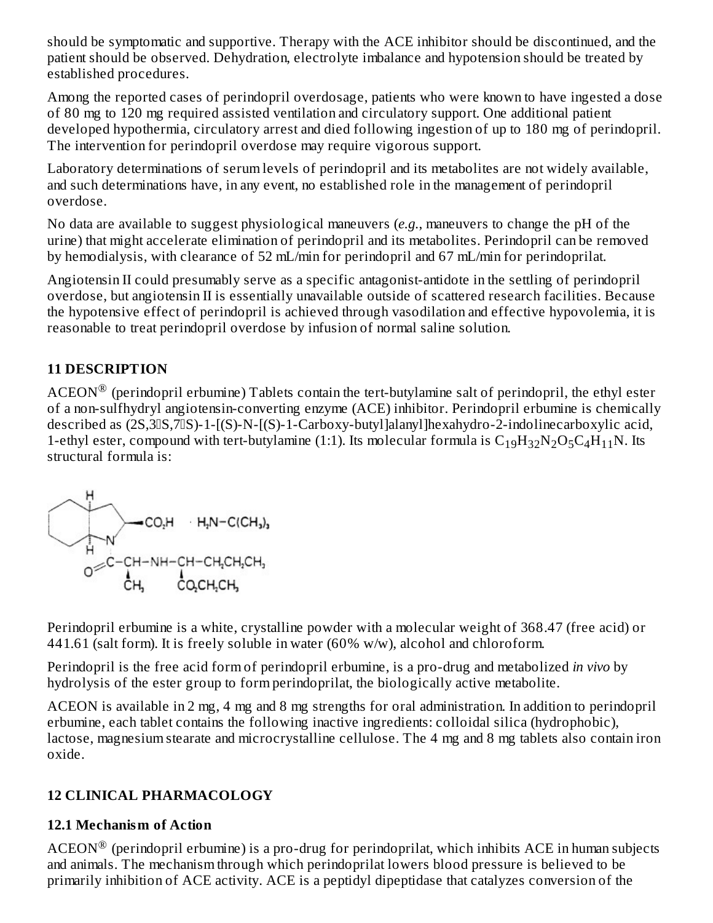should be symptomatic and supportive. Therapy with the ACE inhibitor should be discontinued, and the patient should be observed. Dehydration, electrolyte imbalance and hypotension should be treated by established procedures.

Among the reported cases of perindopril overdosage, patients who were known to have ingested a dose of 80 mg to 120 mg required assisted ventilation and circulatory support. One additional patient developed hypothermia, circulatory arrest and died following ingestion of up to 180 mg of perindopril. The intervention for perindopril overdose may require vigorous support.

Laboratory determinations of serum levels of perindopril and its metabolites are not widely available, and such determinations have, in any event, no established role in the management of perindopril overdose.

No data are available to suggest physiological maneuvers (*e.g.*, maneuvers to change the pH of the urine) that might accelerate elimination of perindopril and its metabolites. Perindopril can be removed by hemodialysis, with clearance of 52 mL/min for perindopril and 67 mL/min for perindoprilat.

Angiotensin II could presumably serve as a specific antagonist-antidote in the settling of perindopril overdose, but angiotensin II is essentially unavailable outside of scattered research facilities. Because the hypotensive effect of perindopril is achieved through vasodilation and effective hypovolemia, it is reasonable to treat perindopril overdose by infusion of normal saline solution.

### **11 DESCRIPTION**

 $\rm{ACEON}^{\circledR}$  (perindopril erbumine) Tablets contain the tert-butylamine salt of perindopril, the ethyl ester of a non-sulfhydryl angiotensin-converting enzyme (ACE) inhibitor. Perindopril erbumine is chemically described as (2S,30S,70S)-1-[(S)-N-[(S)-1-Carboxy-butyllalanyllhexahydro-2-indolinecarboxylic acid, 1-ethyl ester, compound with tert-butylamine (1:1). Its molecular formula is  $C_{19}H_{32}N_2O_5C_4H_{11}N$ . Its structural formula is:



Perindopril erbumine is a white, crystalline powder with a molecular weight of 368.47 (free acid) or 441.61 (salt form). It is freely soluble in water (60% w/w), alcohol and chloroform.

Perindopril is the free acid form of perindopril erbumine, is a pro-drug and metabolized *in vivo* by hydrolysis of the ester group to form perindoprilat, the biologically active metabolite.

ACEON is available in 2 mg, 4 mg and 8 mg strengths for oral administration. In addition to perindopril erbumine, each tablet contains the following inactive ingredients: colloidal silica (hydrophobic), lactose, magnesium stearate and microcrystalline cellulose. The 4 mg and 8 mg tablets also contain iron oxide.

### **12 CLINICAL PHARMACOLOGY**

#### **12.1 Mechanism of Action**

 $\text{ACEON}^{\circledR}$  (perindopril erbumine) is a pro-drug for perindoprilat, which inhibits ACE in human subjects and animals. The mechanism through which perindoprilat lowers blood pressure is believed to be primarily inhibition of ACE activity. ACE is a peptidyl dipeptidase that catalyzes conversion of the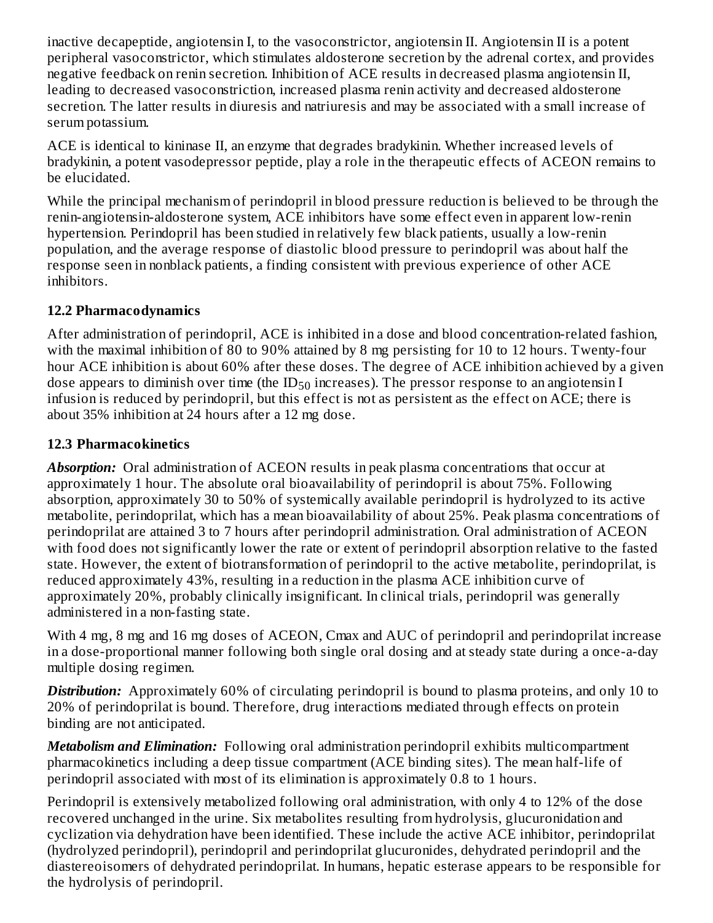inactive decapeptide, angiotensin I, to the vasoconstrictor, angiotensin II. Angiotensin II is a potent peripheral vasoconstrictor, which stimulates aldosterone secretion by the adrenal cortex, and provides negative feedback on renin secretion. Inhibition of ACE results in decreased plasma angiotensin II, leading to decreased vasoconstriction, increased plasma renin activity and decreased aldosterone secretion. The latter results in diuresis and natriuresis and may be associated with a small increase of serum potassium.

ACE is identical to kininase II, an enzyme that degrades bradykinin. Whether increased levels of bradykinin, a potent vasodepressor peptide, play a role in the therapeutic effects of ACEON remains to be elucidated.

While the principal mechanism of perindopril in blood pressure reduction is believed to be through the renin-angiotensin-aldosterone system, ACE inhibitors have some effect even in apparent low-renin hypertension. Perindopril has been studied in relatively few black patients, usually a low-renin population, and the average response of diastolic blood pressure to perindopril was about half the response seen in nonblack patients, a finding consistent with previous experience of other ACE inhibitors.

### **12.2 Pharmacodynamics**

After administration of perindopril, ACE is inhibited in a dose and blood concentration-related fashion, with the maximal inhibition of 80 to 90% attained by 8 mg persisting for 10 to 12 hours. Twenty-four hour ACE inhibition is about 60% after these doses. The degree of ACE inhibition achieved by a given dose appears to diminish over time (the ID $_{50}$  increases). The pressor response to an angiotensin I infusion is reduced by perindopril, but this effect is not as persistent as the effect on ACE; there is about 35% inhibition at 24 hours after a 12 mg dose.

#### **12.3 Pharmacokinetics**

**Absorption:** Oral administration of ACEON results in peak plasma concentrations that occur at approximately 1 hour. The absolute oral bioavailability of perindopril is about 75%. Following absorption, approximately 30 to 50% of systemically available perindopril is hydrolyzed to its active metabolite, perindoprilat, which has a mean bioavailability of about 25%. Peak plasma concentrations of perindoprilat are attained 3 to 7 hours after perindopril administration. Oral administration of ACEON with food does not significantly lower the rate or extent of perindopril absorption relative to the fasted state. However, the extent of biotransformation of perindopril to the active metabolite, perindoprilat, is reduced approximately 43%, resulting in a reduction in the plasma ACE inhibition curve of approximately 20%, probably clinically insignificant. In clinical trials, perindopril was generally administered in a non-fasting state.

With 4 mg, 8 mg and 16 mg doses of ACEON, Cmax and AUC of perindopril and perindoprilat increase in a dose-proportional manner following both single oral dosing and at steady state during a once-a-day multiple dosing regimen.

**Distribution:** Approximately 60% of circulating perindopril is bound to plasma proteins, and only 10 to 20% of perindoprilat is bound. Therefore, drug interactions mediated through effects on protein binding are not anticipated.

*Metabolism and Elimination:* Following oral administration perindopril exhibits multicompartment pharmacokinetics including a deep tissue compartment (ACE binding sites). The mean half-life of perindopril associated with most of its elimination is approximately 0.8 to 1 hours.

Perindopril is extensively metabolized following oral administration, with only 4 to 12% of the dose recovered unchanged in the urine. Six metabolites resulting from hydrolysis, glucuronidation and cyclization via dehydration have been identified. These include the active ACE inhibitor, perindoprilat (hydrolyzed perindopril), perindopril and perindoprilat glucuronides, dehydrated perindopril and the diastereoisomers of dehydrated perindoprilat. In humans, hepatic esterase appears to be responsible for the hydrolysis of perindopril.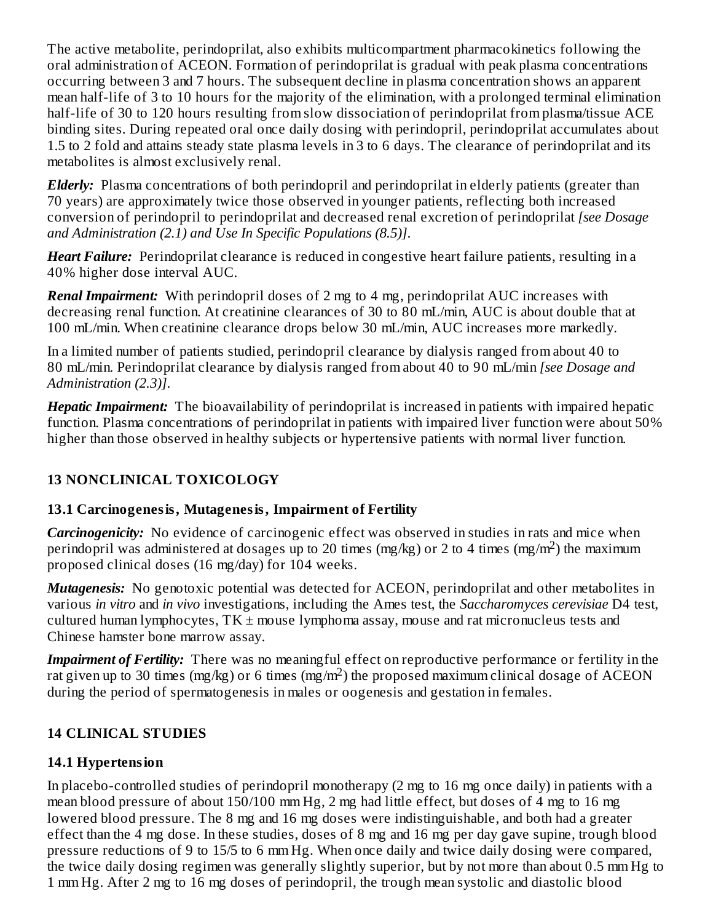The active metabolite, perindoprilat, also exhibits multicompartment pharmacokinetics following the oral administration of ACEON. Formation of perindoprilat is gradual with peak plasma concentrations occurring between 3 and 7 hours. The subsequent decline in plasma concentration shows an apparent mean half-life of 3 to 10 hours for the majority of the elimination, with a prolonged terminal elimination half-life of 30 to 120 hours resulting from slow dissociation of perindoprilat from plasma/tissue ACE binding sites. During repeated oral once daily dosing with perindopril, perindoprilat accumulates about 1.5 to 2 fold and attains steady state plasma levels in 3 to 6 days. The clearance of perindoprilat and its metabolites is almost exclusively renal.

*Elderly:* Plasma concentrations of both perindopril and perindoprilat in elderly patients (greater than 70 years) are approximately twice those observed in younger patients, reflecting both increased conversion of perindopril to perindoprilat and decreased renal excretion of perindoprilat *[see Dosage and Administration (2.1) and Use In Specific Populations (8.5)]*.

*Heart Failure:* Perindoprilat clearance is reduced in congestive heart failure patients, resulting in a 40% higher dose interval AUC.

*Renal Impairment:* With perindopril doses of 2 mg to 4 mg, perindoprilat AUC increases with decreasing renal function. At creatinine clearances of 30 to 80 mL/min, AUC is about double that at 100 mL/min. When creatinine clearance drops below 30 mL/min, AUC increases more markedly.

In a limited number of patients studied, perindopril clearance by dialysis ranged from about 40 to 80 mL/min. Perindoprilat clearance by dialysis ranged from about 40 to 90 mL/min *[see Dosage and Administration (2.3)]*.

*Hepatic Impairment:* The bioavailability of perindoprilat is increased in patients with impaired hepatic function. Plasma concentrations of perindoprilat in patients with impaired liver function were about 50% higher than those observed in healthy subjects or hypertensive patients with normal liver function.

## **13 NONCLINICAL TOXICOLOGY**

### **13.1 Carcinogenesis, Mutagenesis, Impairment of Fertility**

*Carcinogenicity:* No evidence of carcinogenic effect was observed in studies in rats and mice when perindopril was administered at dosages up to 20 times (mg/kg) or 2 to 4 times (mg/m<sup>2</sup>) the maximum proposed clinical doses (16 mg/day) for 104 weeks.

*Mutagenesis:* No genotoxic potential was detected for ACEON, perindoprilat and other metabolites in various *in vitro* and *in vivo* investigations, including the Ames test, the *Saccharomyces cerevisiae* D4 test, cultured human lymphocytes,  $TK \pm$  mouse lymphoma assay, mouse and rat micronucleus tests and Chinese hamster bone marrow assay.

*Impairment of Fertility:* There was no meaningful effect on reproductive performance or fertility in the rat given up to 30 times (mg/kg) or 6 times (mg/m<sup>2</sup>) the proposed maximum clinical dosage of ACEON during the period of spermatogenesis in males or oogenesis and gestation in females.

### **14 CLINICAL STUDIES**

### **14.1 Hypertension**

In placebo-controlled studies of perindopril monotherapy (2 mg to 16 mg once daily) in patients with a mean blood pressure of about 150/100 mm Hg, 2 mg had little effect, but doses of 4 mg to 16 mg lowered blood pressure. The 8 mg and 16 mg doses were indistinguishable, and both had a greater effect than the 4 mg dose. In these studies, doses of 8 mg and 16 mg per day gave supine, trough blood pressure reductions of 9 to 15/5 to 6 mm Hg. When once daily and twice daily dosing were compared, the twice daily dosing regimen was generally slightly superior, but by not more than about 0.5 mm Hg to 1 mm Hg. After 2 mg to 16 mg doses of perindopril, the trough mean systolic and diastolic blood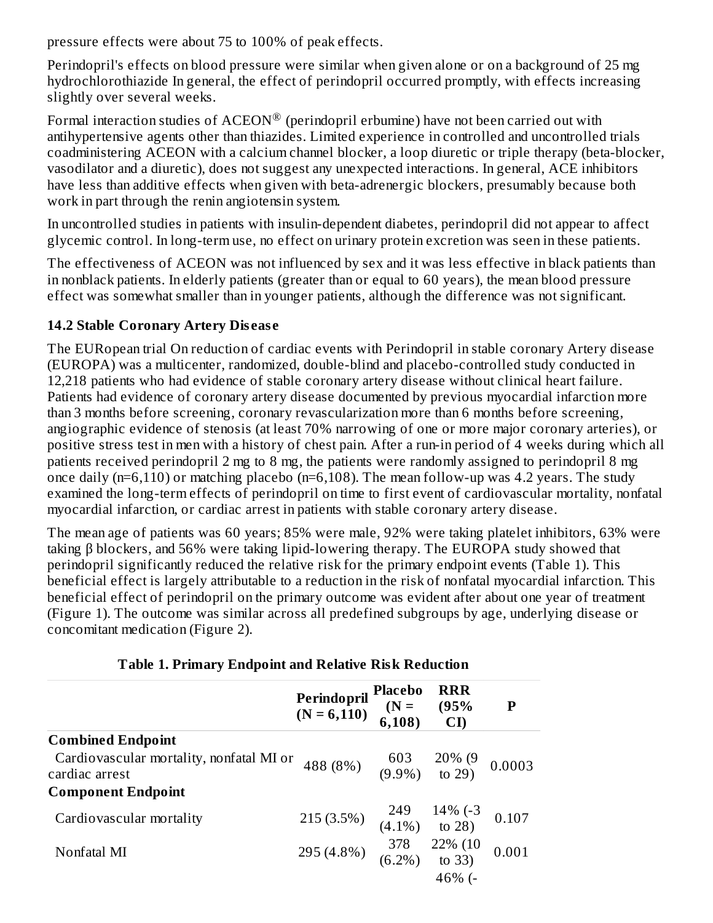pressure effects were about 75 to 100% of peak effects.

Perindopril's effects on blood pressure were similar when given alone or on a background of 25 mg hydrochlorothiazide In general, the effect of perindopril occurred promptly, with effects increasing slightly over several weeks.

Formal interaction studies of ACEON $^\circledR$  (perindopril erbumine) have not been carried out with antihypertensive agents other than thiazides. Limited experience in controlled and uncontrolled trials coadministering ACEON with a calcium channel blocker, a loop diuretic or triple therapy (beta-blocker, vasodilator and a diuretic), does not suggest any unexpected interactions. In general, ACE inhibitors have less than additive effects when given with beta-adrenergic blockers, presumably because both work in part through the renin angiotensin system.

In uncontrolled studies in patients with insulin-dependent diabetes, perindopril did not appear to affect glycemic control. In long-term use, no effect on urinary protein excretion was seen in these patients.

The effectiveness of ACEON was not influenced by sex and it was less effective in black patients than in nonblack patients. In elderly patients (greater than or equal to 60 years), the mean blood pressure effect was somewhat smaller than in younger patients, although the difference was not significant.

#### **14.2 Stable Coronary Artery Dis eas e**

The EURopean trial On reduction of cardiac events with Perindopril in stable coronary Artery disease (EUROPA) was a multicenter, randomized, double-blind and placebo-controlled study conducted in 12,218 patients who had evidence of stable coronary artery disease without clinical heart failure. Patients had evidence of coronary artery disease documented by previous myocardial infarction more than 3 months before screening, coronary revascularization more than 6 months before screening, angiographic evidence of stenosis (at least 70% narrowing of one or more major coronary arteries), or positive stress test in men with a history of chest pain. After a run-in period of 4 weeks during which all patients received perindopril 2 mg to 8 mg, the patients were randomly assigned to perindopril 8 mg once daily (n=6,110) or matching placebo (n=6,108). The mean follow-up was 4.2 years. The study examined the long-term effects of perindopril on time to first event of cardiovascular mortality, nonfatal myocardial infarction, or cardiac arrest in patients with stable coronary artery disease.

The mean age of patients was 60 years; 85% were male, 92% were taking platelet inhibitors, 63% were taking β blockers, and 56% were taking lipid-lowering therapy. The EUROPA study showed that perindopril significantly reduced the relative risk for the primary endpoint events (Table 1). This beneficial effect is largely attributable to a reduction in the risk of nonfatal myocardial infarction. This beneficial effect of perindopril on the primary outcome was evident after about one year of treatment (Figure 1). The outcome was similar across all predefined subgroups by age, underlying disease or concomitant medication (Figure 2).

|                                                            | Perindopril Placebo<br>(N = 6,110) (N = 6,108)                                              | <b>RRR</b><br>(95%<br>$\mathbf{C}$ | $\mathbf{P}$ |
|------------------------------------------------------------|---------------------------------------------------------------------------------------------|------------------------------------|--------------|
| <b>Combined Endpoint</b>                                   |                                                                                             |                                    |              |
| Cardiovascular mortality, nonfatal MI or<br>cardiac arrest | 488 (8%) $\begin{array}{cc} 603 & 20\% & (9 \ 9.9\%) & (9.9\%) & (9.29) \end{array}$ 0.0003 |                                    |              |
| <b>Component Endpoint</b>                                  |                                                                                             |                                    |              |
| Cardiovascular mortality                                   | 215 (3.5%) $\begin{array}{cc} 249 & 14\% \ (-3) & (4.1\%) & \text{to } 28 \end{array}$      |                                    | 0.107        |
| Nonfatal MI                                                | 295 (4.8%) $\begin{array}{cc} 378 & 22\% (10 \\ (6.2\%) & \text{to } 33 \end{array}$        |                                    | 0.001        |
|                                                            |                                                                                             | $46%$ (-                           |              |

#### **Table 1. Primary Endpoint and Relative Risk Reduction**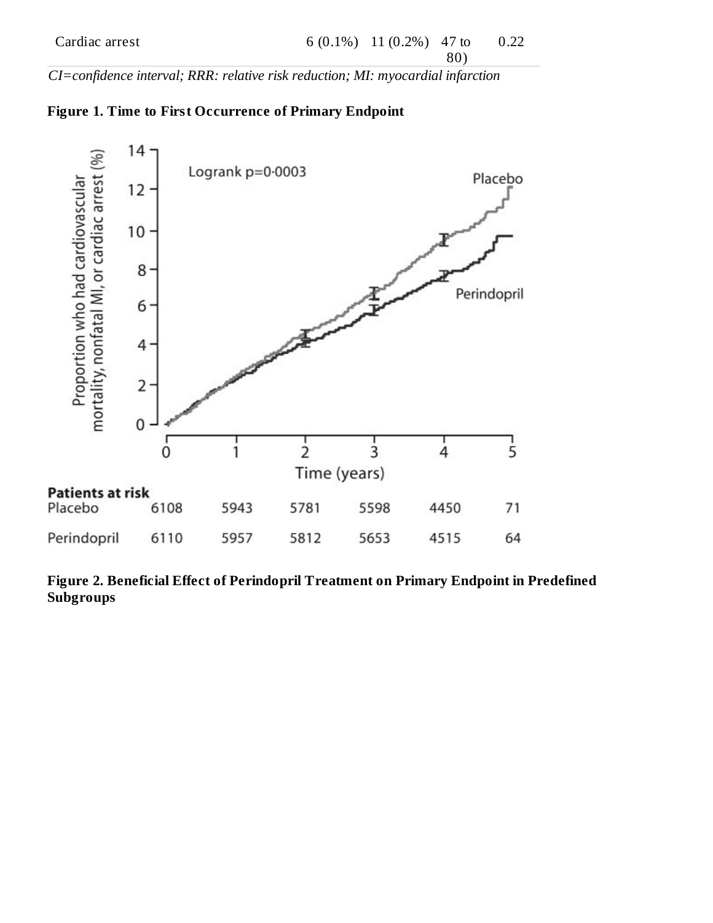80)

*CI=confidence interval; RRR: relative risk reduction; MI: myocardial infarction*





**Figure 2. Beneficial Effect of Perindopril Treatment on Primary Endpoint in Predefined Subgroups**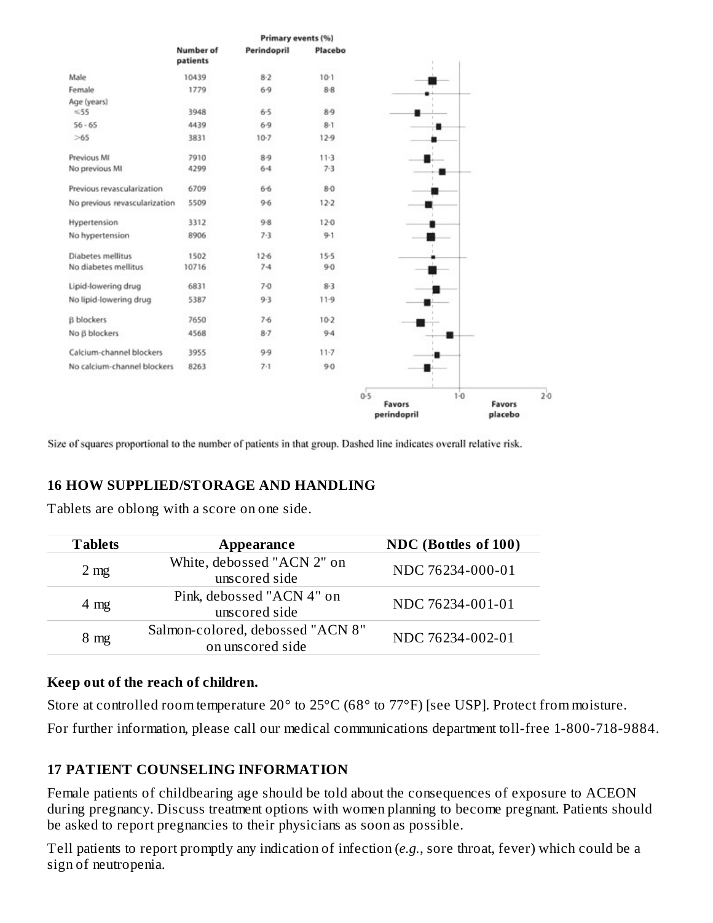

Size of squares proportional to the number of patients in that group. Dashed line indicates overall relative risk.

#### **16 HOW SUPPLIED/STORAGE AND HANDLING**

Tablets are oblong with a score on one side.

| <b>Tablets</b> | Appearance                                           | NDC (Bottles of 100) |
|----------------|------------------------------------------------------|----------------------|
| $2 \text{ mg}$ | White, debossed "ACN 2" on<br>unscored side          | NDC 76234-000-01     |
| $4 \text{ mg}$ | Pink, debossed "ACN 4" on<br>unscored side           | NDC 76234-001-01     |
| $8 \text{ mg}$ | Salmon-colored, debossed "ACN 8"<br>on unscored side | NDC 76234-002-01     |

#### **Keep out of the reach of children.**

Store at controlled room temperature 20° to 25°C (68° to 77°F) [see USP]. Protect from moisture.

For further information, please call our medical communications department toll-free 1-800-718-9884.

#### **17 PATIENT COUNSELING INFORMATION**

Female patients of childbearing age should be told about the consequences of exposure to ACEON during pregnancy. Discuss treatment options with women planning to become pregnant. Patients should be asked to report pregnancies to their physicians as soon as possible.

Tell patients to report promptly any indication of infection (*e.g.*, sore throat, fever) which could be a sign of neutropenia.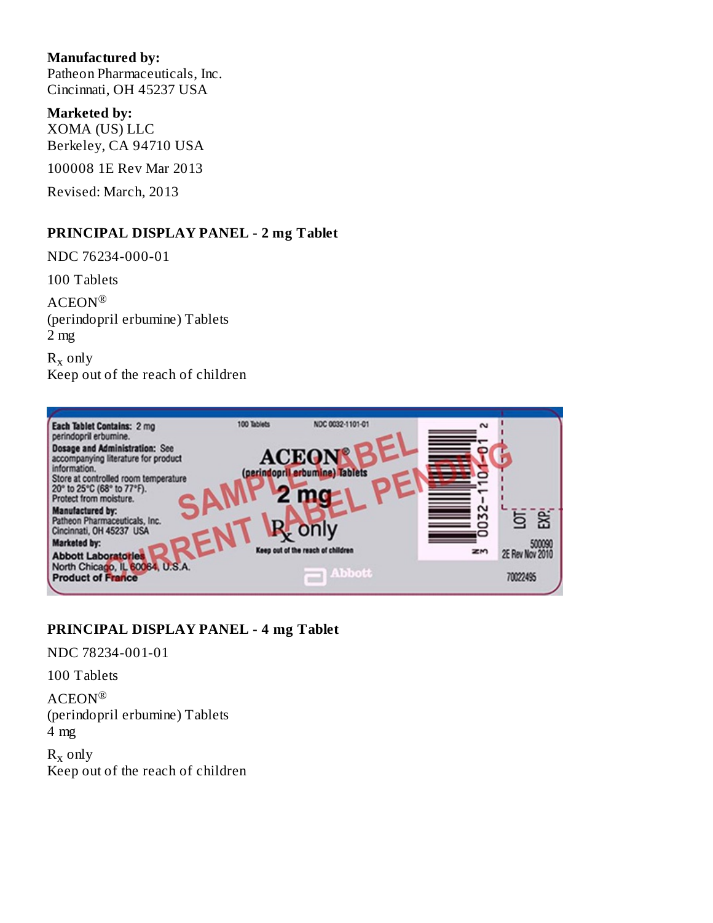#### **Manufactured by:**

Patheon Pharmaceuticals, Inc. Cincinnati, OH 45237 USA

#### **Marketed by:**

XOMA (US) LLC Berkeley, CA 94710 USA

100008 1E Rev Mar 2013

Revised: March, 2013

#### **PRINCIPAL DISPLAY PANEL - 2 mg Tablet**

NDC 76234-000-01

100 Tablets

ACEON ® (perindopril erbumine) Tablets 2 mg

 $R_x$  only Keep out of the reach of children



#### **PRINCIPAL DISPLAY PANEL - 4 mg Tablet**

NDC 78234-001-01

100 Tablets

ACEON ® (perindopril erbumine) Tablets 4 mg

 $R_x$  only Keep out of the reach of children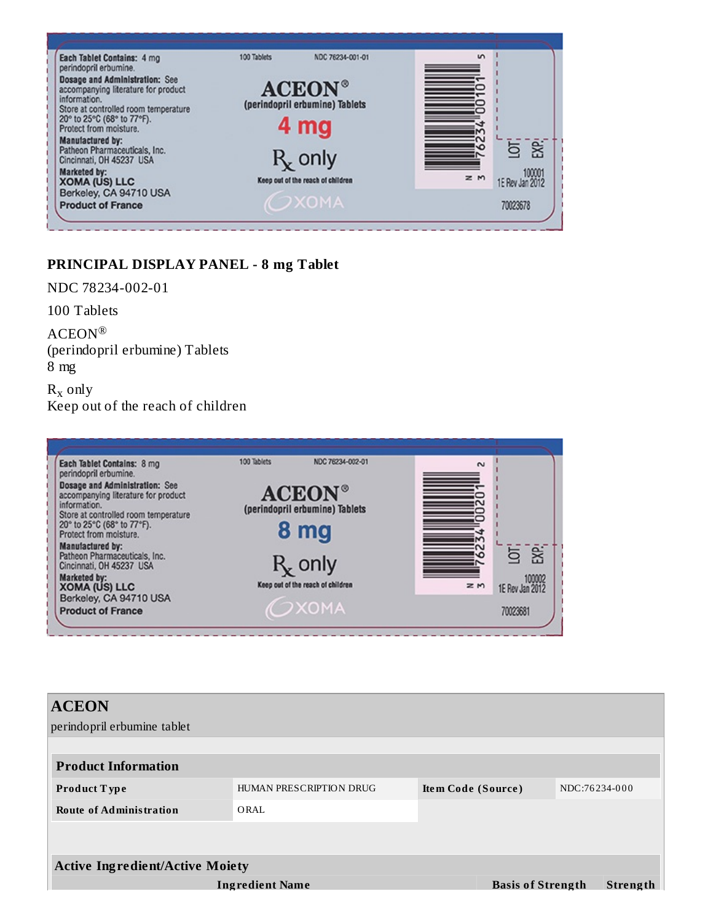

#### **PRINCIPAL DISPLAY PANEL - 8 mg Tablet**

NDC 78234-002-01

100 Tablets

ACEON ® (perindopril erbumine) Tablets 8 mg

 $R_x$  only Keep out of the reach of children



| <b>ACEON</b><br>perindopril erbumine tablet |                         |                          |  |               |  |
|---------------------------------------------|-------------------------|--------------------------|--|---------------|--|
| <b>Product Information</b>                  |                         |                          |  |               |  |
| <b>Product Type</b>                         | HUMAN PRESCRIPTION DRUG | Item Code (Source)       |  | NDC:76234-000 |  |
| <b>Route of Administration</b>              | ORAL                    |                          |  |               |  |
|                                             |                         |                          |  |               |  |
| <b>Active Ingredient/Active Moiety</b>      |                         |                          |  |               |  |
| <b>Ingredient Name</b>                      |                         | <b>Basis of Strength</b> |  | Strength      |  |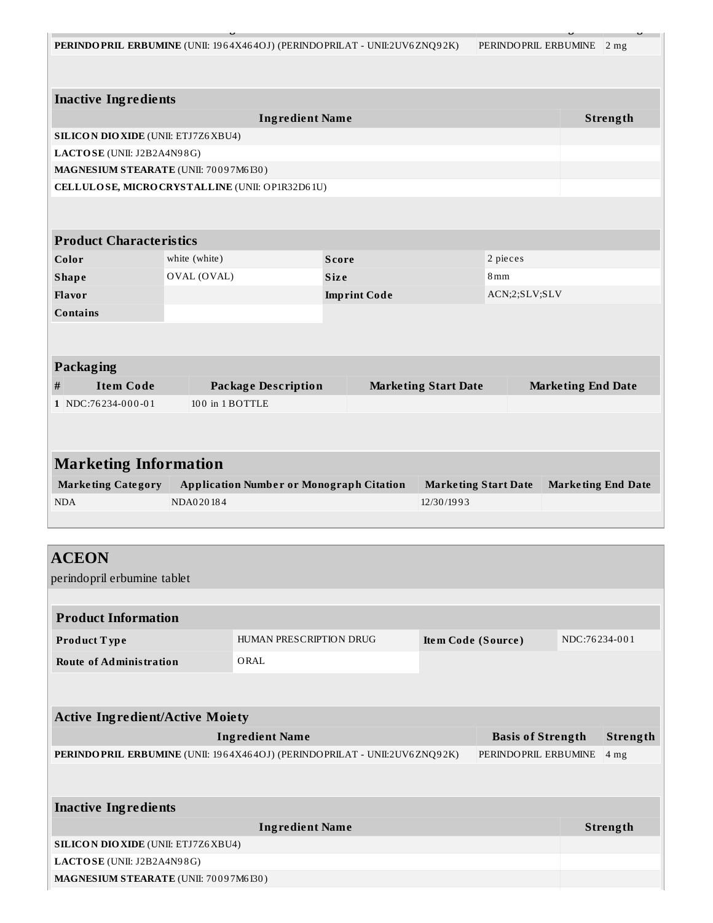| PERINDO PRIL ERBUMINE (UNII: 1964X464OJ) (PERINDO PRILAT - UNII:2UV6ZNQ92K) |                 |                                                 |                     |                             | PERINDOPRIL ERBUMINE 2 mg |                           |  |  |  |
|-----------------------------------------------------------------------------|-----------------|-------------------------------------------------|---------------------|-----------------------------|---------------------------|---------------------------|--|--|--|
|                                                                             |                 |                                                 |                     |                             |                           |                           |  |  |  |
|                                                                             |                 |                                                 |                     |                             |                           |                           |  |  |  |
| <b>Inactive Ingredients</b><br>Strength                                     |                 |                                                 |                     |                             |                           |                           |  |  |  |
| SILICON DIO XIDE (UNII: ETJ7Z6XBU4)                                         |                 | <b>Ingredient Name</b>                          |                     |                             |                           |                           |  |  |  |
| LACTOSE (UNII: J2B2A4N98G)                                                  |                 |                                                 |                     |                             |                           |                           |  |  |  |
| MAGNESIUM STEARATE (UNII: 70097M6I30)                                       |                 |                                                 |                     |                             |                           |                           |  |  |  |
| CELLULOSE, MICRO CRYSTALLINE (UNII: OP1R32D61U)                             |                 |                                                 |                     |                             |                           |                           |  |  |  |
|                                                                             |                 |                                                 |                     |                             |                           |                           |  |  |  |
|                                                                             |                 |                                                 |                     |                             |                           |                           |  |  |  |
| <b>Product Characteristics</b>                                              |                 |                                                 |                     |                             |                           |                           |  |  |  |
| Color                                                                       | white (white)   |                                                 | <b>Score</b>        |                             | 2 pieces                  |                           |  |  |  |
| <b>Shape</b>                                                                | OVAL (OVAL)     |                                                 | <b>Size</b>         |                             | 8 <sub>mm</sub>           |                           |  |  |  |
| <b>Flavor</b>                                                               |                 |                                                 | <b>Imprint Code</b> |                             | ACN;2;SLV;SLV             |                           |  |  |  |
| <b>Contains</b>                                                             |                 |                                                 |                     |                             |                           |                           |  |  |  |
|                                                                             |                 |                                                 |                     |                             |                           |                           |  |  |  |
|                                                                             |                 |                                                 |                     |                             |                           |                           |  |  |  |
| Packaging                                                                   |                 |                                                 |                     |                             |                           |                           |  |  |  |
|                                                                             |                 |                                                 |                     |                             |                           |                           |  |  |  |
| <b>Item Code</b><br>$\#$                                                    |                 | <b>Package Description</b>                      |                     | <b>Marketing Start Date</b> |                           | <b>Marketing End Date</b> |  |  |  |
| 1 NDC:76234-000-01                                                          | 100 in 1 BOTTLE |                                                 |                     |                             |                           |                           |  |  |  |
|                                                                             |                 |                                                 |                     |                             |                           |                           |  |  |  |
|                                                                             |                 |                                                 |                     |                             |                           |                           |  |  |  |
| <b>Marketing Information</b>                                                |                 |                                                 |                     |                             |                           |                           |  |  |  |
| <b>Marketing Category</b>                                                   |                 | <b>Application Number or Monograph Citation</b> |                     | <b>Marketing Start Date</b> |                           | <b>Marketing End Date</b> |  |  |  |
| <b>NDA</b>                                                                  | NDA020184       |                                                 |                     | 12/30/1993                  |                           |                           |  |  |  |
|                                                                             |                 |                                                 |                     |                             |                           |                           |  |  |  |
|                                                                             |                 |                                                 |                     |                             |                           |                           |  |  |  |
| <b>ACEON</b>                                                                |                 |                                                 |                     |                             |                           |                           |  |  |  |
| perindopril erbumine tablet                                                 |                 |                                                 |                     |                             |                           |                           |  |  |  |
|                                                                             |                 |                                                 |                     |                             |                           |                           |  |  |  |
| <b>Product Information</b>                                                  |                 |                                                 |                     |                             |                           |                           |  |  |  |
| Product Type                                                                |                 | HUMAN PRESCRIPTION DRUG                         |                     | Item Code (Source)          |                           | NDC:76234-001             |  |  |  |
| <b>Route of Administration</b>                                              |                 | ORAL                                            |                     |                             |                           |                           |  |  |  |
|                                                                             |                 |                                                 |                     |                             |                           |                           |  |  |  |
|                                                                             |                 |                                                 |                     |                             |                           |                           |  |  |  |

| Ingredient Name                                                                     | <b>Basis of Strength Strength</b>         |  |
|-------------------------------------------------------------------------------------|-------------------------------------------|--|
| <b>PERINDO PRIL ERBUMINE</b> (UNII: 1964X464OJ) (PERINDO PRILAT - UNII:2UV6 ZNQ92K) | $\vert$ PERINDOPRIL ERBUMINE $\vert$ 4 mg |  |

**Inactive Ingredients Ingredient Name Strength SILICON DIOXIDE** (UNII: ETJ7Z6XBU4) **LACTOSE** (UNII: J2B2A4N9 8G) **MAGNESIUM STEARATE** (UNII: 70 0 9 7M6 I30 )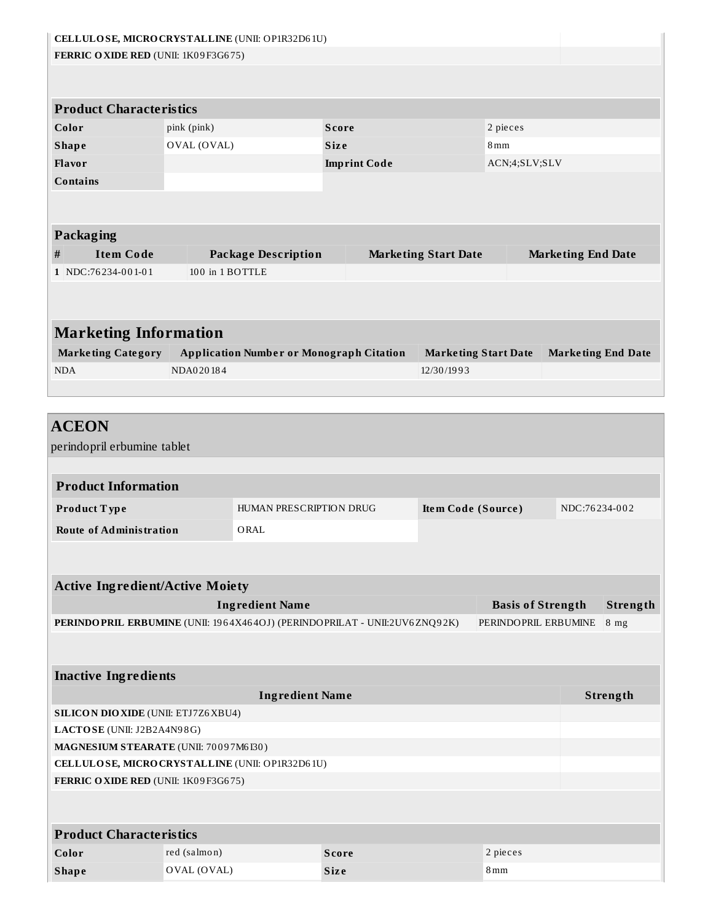| CELLULOSE, MICRO CRYSTALLINE (UNII: OP1R32D61U)                             |                 |                                                 |                     |                             |                             |                           |                           |
|-----------------------------------------------------------------------------|-----------------|-------------------------------------------------|---------------------|-----------------------------|-----------------------------|---------------------------|---------------------------|
| FERRIC OXIDE RED (UNII: 1K09F3G675)                                         |                 |                                                 |                     |                             |                             |                           |                           |
|                                                                             |                 |                                                 |                     |                             |                             |                           |                           |
|                                                                             |                 |                                                 |                     |                             |                             |                           |                           |
| <b>Product Characteristics</b>                                              |                 |                                                 |                     |                             |                             |                           |                           |
| Color                                                                       | pink (pink)     |                                                 | <b>Score</b>        |                             | 2 pieces                    |                           |                           |
| <b>Shape</b>                                                                | OVAL (OVAL)     |                                                 | <b>Size</b>         |                             | 8mm                         |                           |                           |
| Flavor                                                                      |                 |                                                 | <b>Imprint Code</b> |                             | ACN;4;SLV;SLV               |                           |                           |
| <b>Contains</b>                                                             |                 |                                                 |                     |                             |                             |                           |                           |
| Packaging                                                                   |                 |                                                 |                     |                             |                             |                           |                           |
| $\#$<br><b>Item Code</b>                                                    |                 | <b>Package Description</b>                      |                     | <b>Marketing Start Date</b> |                             | <b>Marketing End Date</b> |                           |
| 1 NDC:76234-001-01                                                          | 100 in 1 BOTTLE |                                                 |                     |                             |                             |                           |                           |
|                                                                             |                 |                                                 |                     |                             |                             |                           |                           |
|                                                                             |                 |                                                 |                     |                             |                             |                           |                           |
|                                                                             |                 |                                                 |                     |                             |                             |                           |                           |
| <b>Marketing Information</b>                                                |                 |                                                 |                     |                             |                             |                           |                           |
| <b>Marketing Category</b>                                                   |                 | <b>Application Number or Monograph Citation</b> |                     |                             | <b>Marketing Start Date</b> |                           | <b>Marketing End Date</b> |
| <b>NDA</b>                                                                  | NDA020184       |                                                 |                     | 12/30/1993                  |                             |                           |                           |
|                                                                             |                 |                                                 |                     |                             |                             |                           |                           |
|                                                                             |                 |                                                 |                     |                             |                             |                           |                           |
| <b>ACEON</b>                                                                |                 |                                                 |                     |                             |                             |                           |                           |
| perindopril erbumine tablet                                                 |                 |                                                 |                     |                             |                             |                           |                           |
|                                                                             |                 |                                                 |                     |                             |                             |                           |                           |
| <b>Product Information</b>                                                  |                 |                                                 |                     |                             |                             |                           |                           |
| Product Type                                                                |                 | HUMAN PRESCRIPTION DRUG                         |                     | Item Code (Source)          |                             | NDC:76234-002             |                           |
| <b>Route of Administration</b>                                              |                 | ORAL                                            |                     |                             |                             |                           |                           |
|                                                                             |                 |                                                 |                     |                             |                             |                           |                           |
|                                                                             |                 |                                                 |                     |                             |                             |                           |                           |
| <b>Active Ingredient/Active Moiety</b>                                      |                 |                                                 |                     |                             |                             |                           |                           |
|                                                                             |                 | <b>Ingredient Name</b>                          |                     |                             | <b>Basis of Strength</b>    |                           | Strength                  |
| PERINDO PRIL ERBUMINE (UNII: 1964X464OJ) (PERINDO PRILAT - UNII:2UV6ZNQ92K) |                 |                                                 |                     |                             | PERINDOPRIL ERBUMINE        |                           | 8 <sub>mg</sub>           |
|                                                                             |                 |                                                 |                     |                             |                             |                           |                           |
|                                                                             |                 |                                                 |                     |                             |                             |                           |                           |
| <b>Inactive Ingredients</b>                                                 |                 |                                                 |                     |                             |                             |                           |                           |
|                                                                             |                 | <b>Ingredient Name</b>                          |                     |                             |                             |                           | Strength                  |
| <b>SILICON DIO XIDE (UNII: ETJ7Z6 XBU4)</b>                                 |                 |                                                 |                     |                             |                             |                           |                           |
| LACTOSE (UNII: J2B2A4N98G)                                                  |                 |                                                 |                     |                             |                             |                           |                           |
| MAGNESIUM STEARATE (UNII: 70097M6I30)                                       |                 |                                                 |                     |                             |                             |                           |                           |
| CELLULOSE, MICRO CRYSTALLINE (UNII: OP1R32D61U)                             |                 |                                                 |                     |                             |                             |                           |                           |
| FERRIC OXIDE RED (UNII: 1K09F3G675)                                         |                 |                                                 |                     |                             |                             |                           |                           |
|                                                                             |                 |                                                 |                     |                             |                             |                           |                           |
|                                                                             |                 |                                                 |                     |                             |                             |                           |                           |
| <b>Product Characteristics</b>                                              |                 |                                                 |                     |                             |                             |                           |                           |
| Color                                                                       | red (salmon)    |                                                 | <b>Score</b>        |                             | 2 pieces                    |                           |                           |
| <b>Shape</b>                                                                | OVAL (OVAL)     |                                                 | <b>Size</b>         |                             | 8 <sub>mm</sub>             |                           |                           |